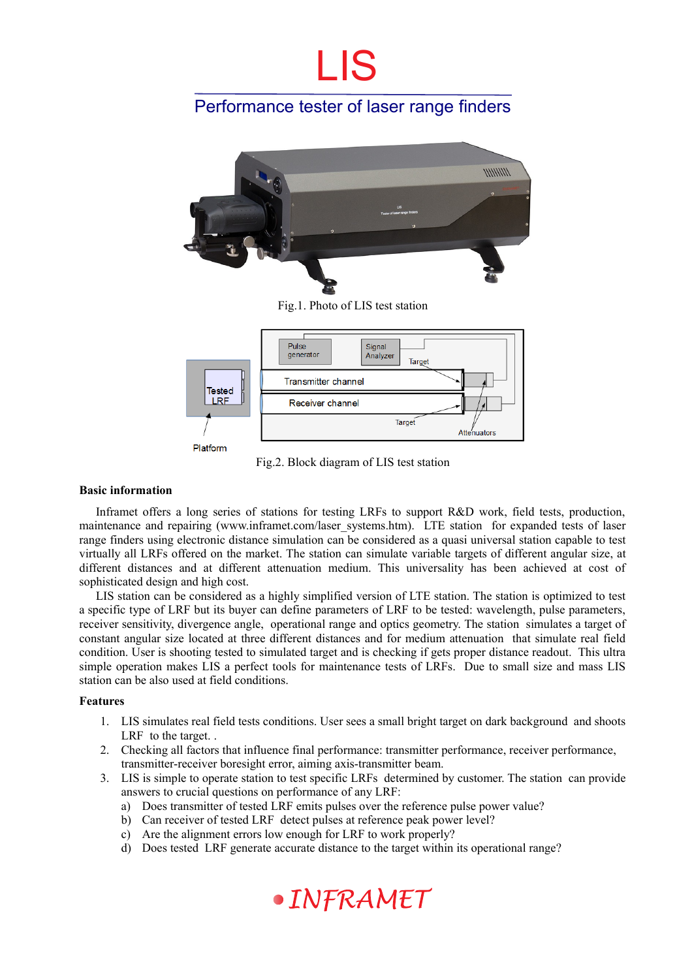# LIS

### Performance tester of laser range finders





Platform

Fig.2. Block diagram of LIS test station

### **Basic information**

Inframet offers a long series of stations for testing LRFs to support R&D work, field tests, production, maintenance and repairing (www.inframet.com/laser\_systems.htm). LTE station for expanded tests of laser range finders using electronic distance simulation can be considered as a quasi universal station capable to test virtually all LRFs offered on the market. The station can simulate variable targets of different angular size, at different distances and at different attenuation medium. This universality has been achieved at cost of sophisticated design and high cost.

LIS station can be considered as a highly simplified version of LTE station. The station is optimized to test a specific type of LRF but its buyer can define parameters of LRF to be tested: wavelength, pulse parameters, receiver sensitivity, divergence angle, operational range and optics geometry. The station simulates a target of constant angular size located at three different distances and for medium attenuation that simulate real field condition. User is shooting tested to simulated target and is checking if gets proper distance readout. This ultra simple operation makes LIS a perfect tools for maintenance tests of LRFs. Due to small size and mass LIS station can be also used at field conditions.

#### **Features**

- 1. LIS simulates real field tests conditions. User sees a small bright target on dark background and shoots LRF to the target. .
- 2. Checking all factors that influence final performance: transmitter performance, receiver performance, transmitter-receiver boresight error, aiming axis-transmitter beam.
- 3. LIS is simple to operate station to test specific LRFs determined by customer. The station can provide answers to crucial questions on performance of any LRF:
	- a) Does transmitter of tested LRF emits pulses over the reference pulse power value?
	- b) Can receiver of tested LRF detect pulses at reference peak power level?
	- c) Are the alignment errors low enough for LRF to work properly?
	- d) Does tested LRF generate accurate distance to the target within its operational range?